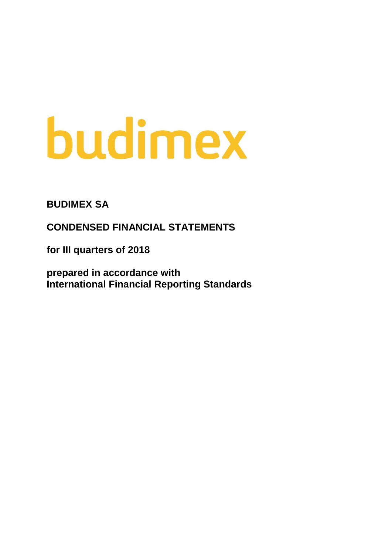# budimex

**BUDIMEX SA**

**CONDENSED FINANCIAL STATEMENTS**

**for III quarters of 2018**

**prepared in accordance with International Financial Reporting Standards**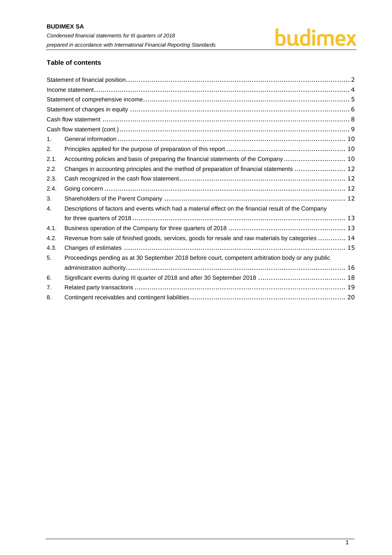# budimex

#### **Table of contents**

| $\mathbf{1}$ . |                                                                                                       |
|----------------|-------------------------------------------------------------------------------------------------------|
| 2.             |                                                                                                       |
| 2.1.           | Accounting policies and basis of preparing the financial statements of the Company 10                 |
| 2.2.           | Changes in accounting principles and the method of preparation of financial statements  12            |
| 2.3.           |                                                                                                       |
| 2.4.           |                                                                                                       |
| 3.             |                                                                                                       |
| 4.             | Descriptions of factors and events which had a material effect on the financial result of the Company |
|                |                                                                                                       |
| 4.1.           |                                                                                                       |
| 4.2.           | Revenue from sale of finished goods, services, goods for resale and raw materials by categories  14   |
| 4.3.           |                                                                                                       |
| 5.             | Proceedings pending as at 30 September 2018 before court, competent arbitration body or any public    |
|                |                                                                                                       |
| 6.             |                                                                                                       |
| 7.             |                                                                                                       |
| 8.             |                                                                                                       |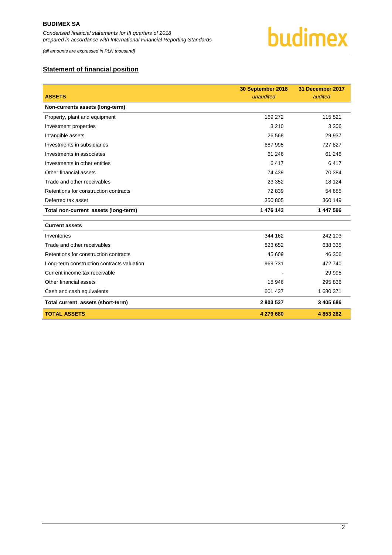

*(all amounts are expressed in PLN thousand)*

#### <span id="page-2-0"></span>**Statement of financial position**

| <b>ASSETS</b>                              | 30 September 2018<br>unaudited | 31 December 2017<br>audited |
|--------------------------------------------|--------------------------------|-----------------------------|
| Non-currents assets (long-term)            |                                |                             |
| Property, plant and equipment              | 169 272                        | 115 521                     |
| Investment properties                      | 3 2 1 0                        | 3 3 0 6                     |
| Intangible assets                          | 26 5 68                        | 29 937                      |
| Investments in subsidiaries                | 687 995                        | 727827                      |
| Investments in associates                  | 61 24 6                        | 61 246                      |
| Investments in other entities              | 6417                           | 6417                        |
| Other financial assets                     | 74 439                         | 70 384                      |
| Trade and other receivables                | 23 352                         | 18 124                      |
| Retentions for construction contracts      | 72 839                         | 54 685                      |
| Deferred tax asset                         | 350 805                        | 360 149                     |
| Total non-current assets (long-term)       | 1 476 143                      | 1 447 596                   |
| <b>Current assets</b>                      |                                |                             |
| Inventories                                | 344 162                        | 242 103                     |
| Trade and other receivables                | 823 652                        | 638 335                     |
| Retentions for construction contracts      | 45 609                         | 46 30 6                     |
| Long-term construction contracts valuation | 969 731                        | 472 740                     |
| Current income tax receivable              |                                | 29 995                      |
| Other financial assets                     | 18 946                         | 295 836                     |
| Cash and cash equivalents                  | 601 437                        | 1 680 371                   |
| Total current assets (short-term)          | 2803537                        | 3 405 686                   |
| <b>TOTAL ASSETS</b>                        | 4 279 680                      | 4 853 282                   |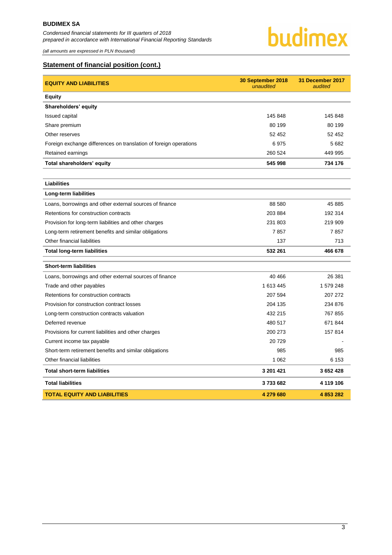*(all amounts are expressed in PLN thousand)*



#### **Statement of financial position (cont.)**

| <b>EQUITY AND LIABILITIES</b>                                     | 30 September 2018<br>unaudited | 31 December 2017<br>audited |
|-------------------------------------------------------------------|--------------------------------|-----------------------------|
| <b>Equity</b>                                                     |                                |                             |
| Shareholders' equity                                              |                                |                             |
| Issued capital                                                    | 145 848                        | 145 848                     |
| Share premium                                                     | 80 199                         | 80 199                      |
| Other reserves                                                    | 52 452                         | 52 452                      |
| Foreign exchange differences on translation of foreign operations | 6975                           | 5682                        |
| Retained earnings                                                 | 260 524                        | 449 995                     |
| Total shareholders' equity                                        | 545 998                        | 734 176                     |
|                                                                   |                                |                             |
| <b>Liabilities</b>                                                |                                |                             |
| Long-term liabilities                                             |                                |                             |
| Loans, borrowings and other external sources of finance           | 88 580                         | 45 885                      |
| Retentions for construction contracts                             | 203 884                        | 192 314                     |
| Provision for long-term liabilities and other charges             | 231 803                        | 219 909                     |
| Long-term retirement benefits and similar obligations             | 7857                           | 7857                        |
| Other financial liabilities                                       | 137                            | 713                         |
| <b>Total long-term liabilities</b>                                | 532 261                        | 466 678                     |
| <b>Short-term liabilities</b>                                     |                                |                             |
| Loans, borrowings and other external sources of finance           | 40 466                         | 26 381                      |
| Trade and other payables                                          | 1 613 445                      | 1 579 248                   |
| Retentions for construction contracts                             | 207 594                        | 207 272                     |
| Provision for construction contract losses                        | 204 135                        | 234 876                     |
| Long-term construction contracts valuation                        | 432 215                        | 767 855                     |
| Deferred revenue                                                  | 480 517                        | 671 844                     |
| Provisions for current liabilities and other charges              | 200 273                        | 157814                      |
| Current income tax payable                                        | 20729                          |                             |
| Short-term retirement benefits and similar obligations            | 985                            | 985                         |
| Other financial liabilities                                       | 1 0 6 2                        | 6 1 5 3                     |
| <b>Total short-term liabilities</b>                               | 3 201 421                      | 3 652 428                   |
| <b>Total liabilities</b>                                          | 3733682                        | 4 119 106                   |
| <b>TOTAL EQUITY AND LIABILITIES</b>                               | 4 279 680                      | 4 853 282                   |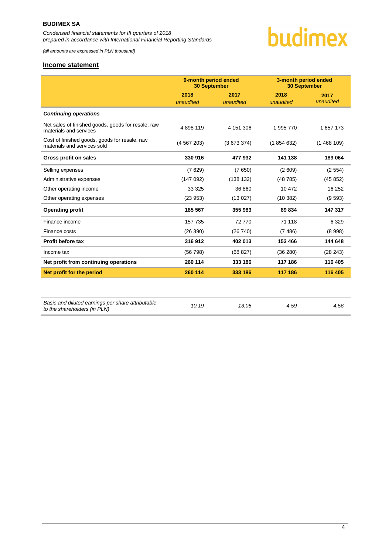*(all amounts are expressed in PLN thousand)*

# budimex

#### <span id="page-4-0"></span>**Income statement**

|                                                                                   | 9-month period ended<br><b>30 September</b> |           | 3-month period ended<br><b>30 September</b> |           |
|-----------------------------------------------------------------------------------|---------------------------------------------|-----------|---------------------------------------------|-----------|
|                                                                                   | 2018                                        | 2017      | 2018                                        | 2017      |
|                                                                                   | unaudited                                   | unaudited | unaudited                                   | unaudited |
| <b>Continuing operations</b>                                                      |                                             |           |                                             |           |
| Net sales of finished goods, goods for resale, raw<br>materials and services      | 4898119                                     | 4 151 306 | 1995 770                                    | 1 657 173 |
| Cost of finished goods, goods for resale, raw<br>materials and services sold      | (4567203)                                   | (3673374) | (1854632)                                   | (1468109) |
| Gross profit on sales                                                             | 330 916                                     | 477932    | 141 138                                     | 189 064   |
| Selling expenses                                                                  | (7629)                                      | (7650)    | (2609)                                      | (2554)    |
| Administrative expenses                                                           | (147092)                                    | (138 132) | (48785)                                     | (45852)   |
| Other operating income                                                            | 33 3 25                                     | 36 860    | 10 472                                      | 16 25 2   |
| Other operating expenses                                                          | (23953)                                     | (13027)   | (10382)                                     | (9593)    |
| <b>Operating profit</b>                                                           | 185 567                                     | 355 983   | 89 834                                      | 147 317   |
| Finance income                                                                    | 157 735                                     | 72 770    | 71 118                                      | 6 3 2 9   |
| Finance costs                                                                     | (26 390)                                    | (26740)   | (7486)                                      | (8998)    |
| <b>Profit before tax</b>                                                          | 316912                                      | 402 013   | 153 466                                     | 144 648   |
| Income tax                                                                        | (56798)                                     | (68 827)  | (36 280)                                    | (28 243)  |
| Net profit from continuing operations                                             | 260 114                                     | 333 186   | 117 186                                     | 116 405   |
| Net profit for the period                                                         | 260 114                                     | 333 186   | 117 186                                     | 116 405   |
|                                                                                   |                                             |           |                                             |           |
| Basic and diluted earnings per share attributable<br>to the shareholders (in PLN) | 10.19                                       | 13.05     | 4.59                                        | 4.56      |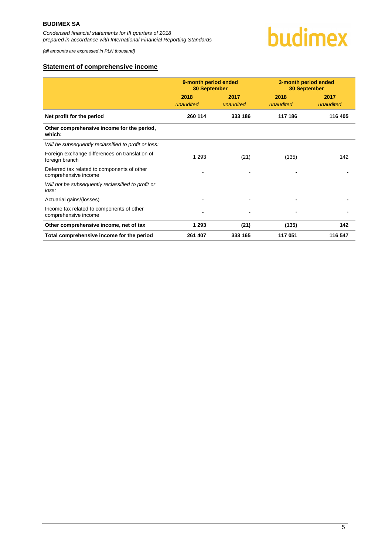

#### <span id="page-5-0"></span>**Statement of comprehensive income**

|                                                                     | 9-month period ended<br><b>30 September</b> |                   | 3-month period ended<br><b>30 September</b> |                   |
|---------------------------------------------------------------------|---------------------------------------------|-------------------|---------------------------------------------|-------------------|
|                                                                     | 2018<br>unaudited                           | 2017<br>unaudited | 2018<br>unaudited                           | 2017<br>unaudited |
| Net profit for the period                                           | 260 114                                     | 333 186           | 117 186                                     | 116 405           |
| Other comprehensive income for the period,<br>which:                |                                             |                   |                                             |                   |
| Will be subsequently reclassified to profit or loss:                |                                             |                   |                                             |                   |
| Foreign exchange differences on translation of<br>foreign branch    | 1 2 9 3                                     | (21)              | (135)                                       | 142               |
| Deferred tax related to components of other<br>comprehensive income |                                             |                   |                                             |                   |
| Will not be subsequently reclassified to profit or<br>loss:         |                                             |                   |                                             |                   |
| Actuarial gains/(losses)                                            |                                             |                   |                                             |                   |
| Income tax related to components of other<br>comprehensive income   |                                             |                   |                                             |                   |
| Other comprehensive income, net of tax                              | 1 2 9 3                                     | (21)              | (135)                                       | 142               |
| Total comprehensive income for the period                           | 261 407                                     | 333 165           | 117 051                                     | 116 547           |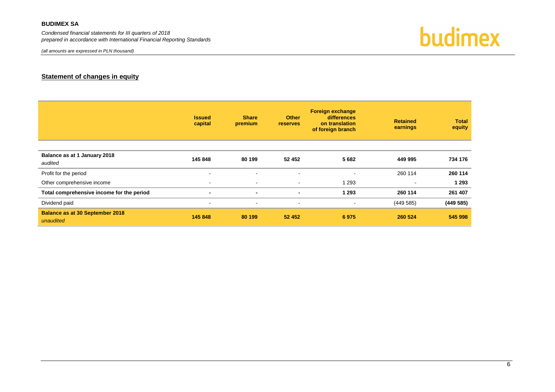#### **BUDIMEX SA**

*Condensed financial statements for III quarters of 2018 prepared in accordance with International Financial Reporting Standards*

*(all amounts are expressed in PLN thousand)*

budimex

#### **Statement of changes in equity**

<span id="page-6-0"></span>

|                                                     | <b>Issued</b><br>capital | <b>Share</b><br>premium | <b>Other</b><br><b>reserves</b> | <b>Foreign exchange</b><br>differences<br>on translation<br>of foreign branch | <b>Retained</b><br>earnings | <b>Total</b><br>equity |
|-----------------------------------------------------|--------------------------|-------------------------|---------------------------------|-------------------------------------------------------------------------------|-----------------------------|------------------------|
| Balance as at 1 January 2018<br>audited             | 145 848                  | 80 199                  | 52 452                          | 5682                                                                          | 449 995                     | 734 176                |
| Profit for the period                               | $\sim$                   | $\sim$                  | $\sim$                          | $\blacksquare$                                                                | 260 114                     | 260 114                |
| Other comprehensive income                          | $\blacksquare$           | $\blacksquare$          | $\sim$                          | 1 2 9 3                                                                       | $\overline{\phantom{0}}$    | 1 2 9 3                |
| Total comprehensive income for the period           | $\blacksquare$           | $\blacksquare$          | $\blacksquare$                  | 1 2 9 3                                                                       | 260 114                     | 261 407                |
| Dividend paid                                       | $\sim$                   | $\blacksquare$          | $\sim$                          | $\blacksquare$                                                                | (449585)                    | (449585)               |
| <b>Balance as at 30 September 2018</b><br>unaudited | 145 848                  | 80 199                  | 52 452                          | 6975                                                                          | 260 524                     | 545 998                |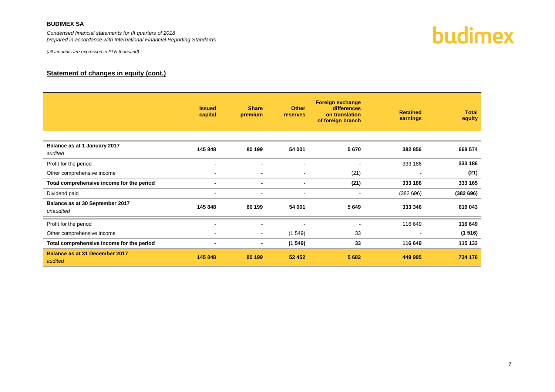#### **BUDIMEX SA**

*Condensed financial statements for III quarters of 2018 prepared in accordance with International Financial Reporting Standards*



#### **Statement of changes in equity (cont.)**

|                                                  | <b>Issued</b><br>capital | <b>Share</b><br>premium  | <b>Other</b><br>reserves | <b>Foreign exchange</b><br>differences<br>on translation<br>of foreign branch | <b>Retained</b><br>earnings | <b>Total</b><br>equity |
|--------------------------------------------------|--------------------------|--------------------------|--------------------------|-------------------------------------------------------------------------------|-----------------------------|------------------------|
| Balance as at 1 January 2017<br>audited          | 145 848                  | 80 199                   | 54 001                   | 5670                                                                          | 382 856                     | 668 574                |
| Profit for the period                            | $\overline{\phantom{a}}$ | ۰.                       | $\blacksquare$           | ٠                                                                             | 333 186                     | 333 186                |
| Other comprehensive income                       | $\overline{\phantom{a}}$ | $\overline{\phantom{a}}$ | $\overline{\phantom{a}}$ | (21)                                                                          | ٠                           | (21)                   |
| Total comprehensive income for the period        |                          | $\blacksquare$           | $\blacksquare$           | (21)                                                                          | 333 186                     | 333 165                |
| Dividend paid                                    | $\overline{\phantom{a}}$ | $\overline{\phantom{a}}$ | $\overline{\phantom{a}}$ | $\blacksquare$                                                                | (382696)                    | (382696)               |
| Balance as at 30 September 2017<br>unaudited     | 145 848                  | 80 199                   | 54 001                   | 5649                                                                          | 333 346                     | 619 043                |
| Profit for the period                            |                          | ۰                        | ۰                        |                                                                               | 116 649                     | 116 649                |
| Other comprehensive income                       | $\blacksquare$           | $\sim$                   | (1549)                   | 33                                                                            | $\blacksquare$              | (1516)                 |
| Total comprehensive income for the period        |                          | ۰.                       | (1549)                   | 33                                                                            | 116 649                     | 115 133                |
| <b>Balance as at 31 December 2017</b><br>audited | 145 848                  | 80 199                   | 52 452                   | 5 6 8 2                                                                       | 449 995                     | 734 176                |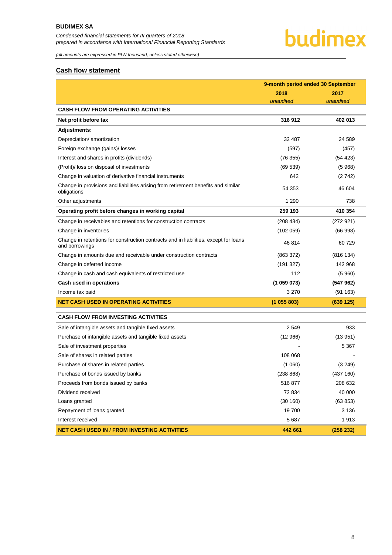## budimex

*(all amounts are expressed in PLN thousand, unless stated otherwise)*

#### <span id="page-8-0"></span>**Cash flow statement**

|                                                                                                        | 9-month period ended 30 September |           |  |
|--------------------------------------------------------------------------------------------------------|-----------------------------------|-----------|--|
|                                                                                                        | 2018                              | 2017      |  |
|                                                                                                        | unaudited                         | unaudited |  |
| <b>CASH FLOW FROM OPERATING ACTIVITIES</b>                                                             |                                   |           |  |
| Net profit before tax                                                                                  | 316912                            | 402 013   |  |
| <b>Adjustments:</b>                                                                                    |                                   |           |  |
| Depreciation/ amortization                                                                             | 32 487                            | 24 5 89   |  |
| Foreign exchange (gains)/ losses                                                                       | (597)                             | (457)     |  |
| Interest and shares in profits (dividends)                                                             | (76355)                           | (54 423)  |  |
| (Profit)/ loss on disposal of investments                                                              | (69539)                           | (5968)    |  |
| Change in valuation of derivative financial instruments                                                | 642                               | (2742)    |  |
| Change in provisions and liabilities arising from retirement benefits and similar<br>obligations       | 54 353                            | 46 604    |  |
| Other adjustments                                                                                      | 1 2 9 0                           | 738       |  |
| Operating profit before changes in working capital                                                     | 259 193                           | 410 354   |  |
| Change in receivables and retentions for construction contracts                                        | (208434)                          | (272921)  |  |
| Change in inventories                                                                                  | (102 059)                         | (66998)   |  |
| Change in retentions for construction contracts and in liabilities, except for loans<br>and borrowings | 46 814                            | 60 729    |  |
| Change in amounts due and receivable under construction contracts                                      | (863 372)                         | (816134)  |  |
| Change in deferred income                                                                              | (191 327)                         | 142 968   |  |
| Change in cash and cash equivalents of restricted use                                                  | 112                               | (5960)    |  |
| Cash used in operations                                                                                | (1059073)                         | (547962)  |  |
| Income tax paid                                                                                        | 3 2 7 0                           | (91163)   |  |
| <b>NET CASH USED IN OPERATING ACTIVITIES</b>                                                           | (1055803)                         | (639 125) |  |
| <b>CASH FLOW FROM INVESTING ACTIVITIES</b>                                                             |                                   |           |  |
| Sale of intangible assets and tangible fixed assets                                                    | 2549                              | 933       |  |
| Purchase of intangible assets and tangible fixed assets                                                | (12966)                           | (13951)   |  |
| Sale of investment properties                                                                          |                                   | 5 3 6 7   |  |
| Sale of shares in related parties                                                                      | 108 068                           |           |  |
| Purchase of shares in related parties                                                                  | (1060)                            | (3 249)   |  |
| Purchase of bonds issued by banks                                                                      | (238 868)                         | (437 160) |  |
| Proceeds from bonds issued by banks                                                                    | 516 877                           | 208 632   |  |
| Dividend received                                                                                      | 72 834                            | 40 000    |  |
| Loans granted                                                                                          | (30160)                           | (63 853)  |  |
| Repayment of loans granted                                                                             | 19700                             | 3 1 3 6   |  |
| Interest received                                                                                      | 5 6 8 7                           | 1913      |  |
| <b>NET CASH USED IN / FROM INVESTING ACTIVITIES</b>                                                    | 442 661                           | (258 232) |  |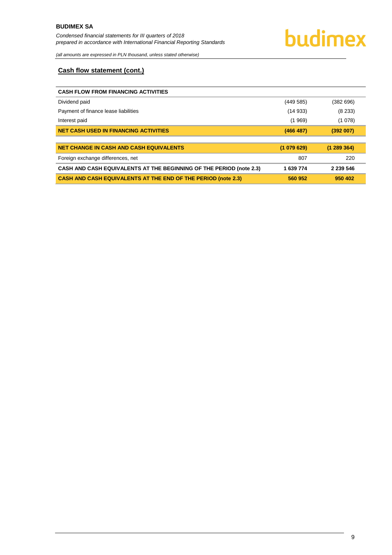#### <span id="page-9-0"></span>**Cash flow statement (cont.)**

| <b>CASH FLOW FROM FINANCING ACTIVITIES</b>                                 |           |           |
|----------------------------------------------------------------------------|-----------|-----------|
| Dividend paid                                                              | (449585)  | (382696)  |
| Payment of finance lease liabilities                                       | (14933)   | (8233)    |
| Interest paid                                                              | (1969)    | (1078)    |
| <b>NET CASH USED IN FINANCING ACTIVITIES</b>                               | (466 487) | (392007)  |
|                                                                            |           |           |
| <b>NET CHANGE IN CASH AND CASH EQUIVALENTS</b>                             | (1079629) | (1289364) |
| Foreign exchange differences, net                                          | 807       | 220       |
|                                                                            |           |           |
| <b>CASH AND CASH EQUIVALENTS AT THE BEGINNING OF THE PERIOD (note 2.3)</b> | 1 639 774 | 2 239 546 |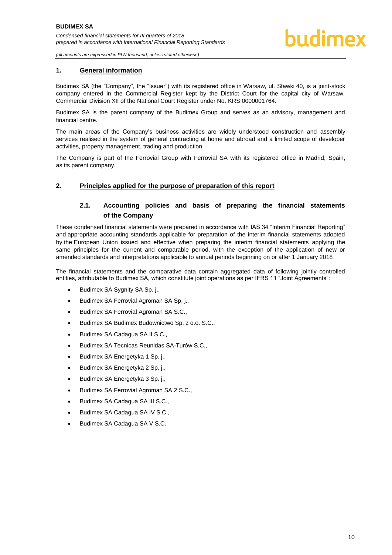#### <span id="page-10-0"></span>**1. General information**

Budimex SA (the "Company", the "Issuer") with its registered office in Warsaw, ul. Stawki 40, is a joint-stock company entered in the Commercial Register kept by the District Court for the capital city of Warsaw, Commercial Division XII of the National Court Register under No. KRS 0000001764.

Budimex SA is the parent company of the Budimex Group and serves as an advisory, management and financial centre.

The main areas of the Company's business activities are widely understood construction and assembly services realised in the system of general contracting at home and abroad and a limited scope of developer activities, property management, trading and production.

The Company is part of the Ferrovial Group with Ferrovial SA with its registered office in Madrid, Spain, as its parent company.

#### <span id="page-10-2"></span><span id="page-10-1"></span>**2. Principles applied for the purpose of preparation of this report**

#### **2.1. Accounting policies and basis of preparing the financial statements of the Company**

These condensed financial statements were prepared in accordance with IAS 34 "Interim Financial Reporting" and appropriate accounting standards applicable for preparation of the interim financial statements adopted by the European Union issued and effective when preparing the interim financial statements applying the same principles for the current and comparable period, with the exception of the application of new or amended standards and interpretations applicable to annual periods beginning on or after 1 January 2018.

The financial statements and the comparative data contain aggregated data of following jointly controlled entities, attributable to Budimex SA, which constitute joint operations as per IFRS 11 "Joint Agreements":

- Budimex SA Sygnity SA Sp. j.,
- **•** Budimex SA Ferrovial Agroman SA Sp. j.,
- **Budimex SA Ferrovial Agroman SA S.C.,**
- Budimex SA Budimex Budownictwo Sp. z o.o. S.C.,
- Budimex SA Cadagua SA II S.C.,
- Budimex SA Tecnicas Reunidas SA-Turów S.C.,
- Budimex SA Energetyka 1 Sp. j.,
- Budimex SA Energetyka 2 Sp. j.,
- Budimex SA Energetyka 3 Sp. j.,
- Budimex SA Ferrovial Agroman SA 2 S.C.,
- Budimex SA Cadagua SA III S.C.,
- Budimex SA Cadagua SA IV S.C.,
- Budimex SA Cadagua SA V S.C.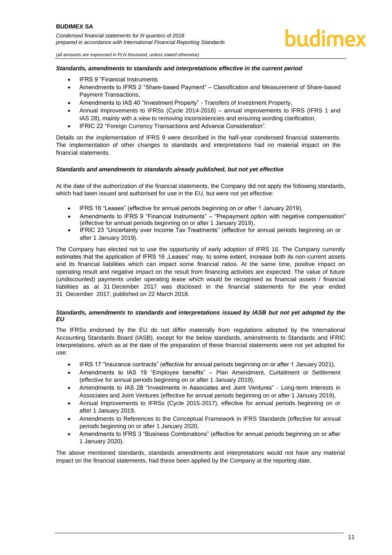### hudimex

*(all amounts are expressed in PLN thousand, unless stated otherwise)*

#### *Standards, amendments to standards and interpretations effective in the current period*

- IFRS 9 "Financial Instruments
- Amendments to IFRS 2 "Share-based Payment" Classification and Measurement of Share-based Payment Transactions,
- Amendments to IAS 40 "Investment Property" Transfers of Investment Property,
- Annual Improvements to IFRSs (Cycle 2014-2016) annual improvements to IFRS (IFRS 1 and IAS 28), mainly with a view to removing inconsistencies and ensuring wording clarification,
- IFRIC 22 "Foreign Currency Transactions and Advance Consideration".

Details on the implementation of IFRS 9 were described in the half-year condensed financial statements. The implementation of other changes to standards and interpretations had no material impact on the financial statements.

#### *Standards and amendments to standards already published, but not yet effective*

At the date of the authorization of the financial statements, the Company did not apply the following standards, which had been issued and authorised for use in the EU, but were not yet effective:

- IFRS 16 "Leases" (effective for annual periods beginning on or after 1 January 2019),
- Amendments to IFRS 9 "Financial Instruments" "Prepayment option with negative compensation" (effective for annual periods beginning on or after 1 January 2019),
- IFRIC 23 "Uncertainty over Income Tax Treatments" (effective for annual periods beginning on or after 1 January 2019).

The Company has elected not to use the opportunity of early adoption of IFRS 16. The Company currently estimates that the application of IFRS 16 "Leases" may, to some extent, increase both its non-current assets and its financial liabilities which can impact some financial ratios. At the same time, positive impact on operating result and negative impact on the result from financing activities are expected. The value of future (undiscounted) payments under operating lease which would be recognised as financial assets / financial liabilities as at 31 December 2017 was disclosed in the financial statements for the year ended 31 December 2017, published on 22 March 2018.

#### *Standards, amendments to standards and interpretations issued by IASB but not yet adopted by the EU*

The IFRSs endorsed by the EU do not differ materially from regulations adopted by the International Accounting Standards Board (IASB), except for the below standards, amendments to Standards and IFRIC Interpretations, which as at the date of the preparation of these financial statements were not yet adopted for use:

- IFRS 17 "Insurance contracts" (effective for annual periods beginning on or after 1 January 2021),
- Amendments to IAS 19 "Employee benefits" Plan Amendment, Curtailment or Settlement (effective for annual periods beginning on or after 1 January 2019),
- Amendments to IAS 28 "Investments in Associates and Joint Ventures" Long-term Interests in Associates and Joint Ventures (effective for annual periods beginning on or after 1 January 2019),
- Annual Improvements to IFRSs (Cycle 2015-2017), effective for annual periods beginning on or after 1 January 2019,
- Amendments to References to the Conceptual Framework in IFRS Standards (effective for annual periods beginning on or after 1 January 2020,
- Amendments to IFRS 3 "Business Combinations" (effective for annual periods beginning on or after 1 January 2020).

The above mentioned standards, standards amendments and interpretations would not have any material impact on the financial statements, had these been applied by the Company at the reporting date.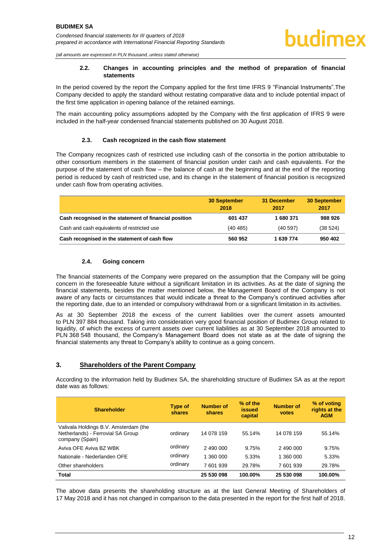#### **2.2. Changes in accounting principles and the method of preparation of financial statements**

<span id="page-12-0"></span>In the period covered by the report the Company applied for the first time IFRS 9 "Financial Instruments".The Company decided to apply the standard without restating comparative data and to include potential impact of the first time application in opening balance of the retained earnings.

The main accounting policy assumptions adopted by the Company with the first application of IFRS 9 were included in the half-year condensed financial statements published on 30 August 2018.

#### **2.3. Cash recognized in the cash flow statement**

<span id="page-12-1"></span>The Company recognizes cash of restricted use including cash of the consortia in the portion attributable to other consortium members in the statement of financial position under cash and cash equivalents. For the purpose of the statement of cash flow – the balance of cash at the beginning and at the end of the reporting period is reduced by cash of restricted use, and its change in the statement of financial position is recognized under cash flow from operating activities.

|                                                        | <b>30 September</b><br>2018 | 31 December<br>2017 | <b>30 September</b><br>2017 |
|--------------------------------------------------------|-----------------------------|---------------------|-----------------------------|
| Cash recognised in the statement of financial position | 601 437                     | 1680371             | 988 926                     |
| Cash and cash equivalents of restricted use            | (40, 485)                   | (40.597)            | (38524)                     |
| Cash recognised in the statement of cash flow          | 560 952                     | 1 639 774           | 950 402                     |

#### **2.4. Going concern**

<span id="page-12-2"></span>The financial statements of the Company were prepared on the assumption that the Company will be going concern in the foreseeable future without a significant limitation in its activities. As at the date of signing the financial statements, besides the matter mentioned below, the Management Board of the Company is not aware of any facts or circumstances that would indicate a threat to the Company's continued activities after the reporting date, due to an intended or compulsory withdrawal from or a significant limitation in its activities.

As at 30 September 2018 the excess of the current liabilities over the current assets amounted to PLN 397 884 thousand. Taking into consideration very good financial position of Budimex Group related to liquidity, of which the excess of current assets over current liabilities as at 30 September 2018 amounted to PLN 368 548 thousand, the Company's Management Board does not state as at the date of signing the financial statements any threat to Company's ability to continue as a going concern.

#### <span id="page-12-3"></span>**3. Shareholders of the Parent Company**

According to the information held by Budimex SA, the shareholding structure of Budimex SA as at the report date was as follows:

| <b>Shareholder</b>                                                                            | Type of<br>shares | <b>Number of</b><br>shares | % of the<br><b>issued</b><br>capital | Number of<br>votes | % of voting<br>rights at the<br><b>AGM</b> |
|-----------------------------------------------------------------------------------------------|-------------------|----------------------------|--------------------------------------|--------------------|--------------------------------------------|
| Valivala Holdings B.V. Amsterdam (the<br>Netherlands) - Ferrovial SA Group<br>company (Spain) | ordinary          | 14 078 159                 | 55.14%                               | 14 078 159         | 55.14%                                     |
| Aviva OFE Aviva BZ WBK                                                                        | ordinary          | 2 490 000                  | 9.75%                                | 2 490 000          | 9.75%                                      |
| Nationale - Nederlanden OFF                                                                   | ordinary          | 1 360 000                  | 5.33%                                | 1 360 000          | 5.33%                                      |
| Other shareholders                                                                            | ordinary          | 7 601 939                  | 29.78%                               | 7 601 939          | 29.78%                                     |
| Total                                                                                         |                   | 25 530 098                 | 100.00%                              | 25 530 098         | 100.00%                                    |

The above data presents the shareholding structure as at the last General Meeting of Shareholders of 17 May 2018 and it has not changed in comparison to the data presented in the report for the first half of 2018.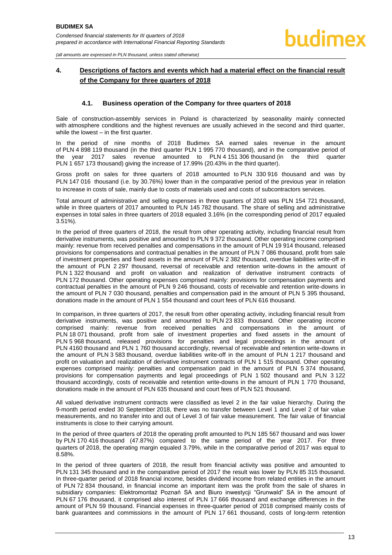#### <span id="page-13-0"></span>**4. Descriptions of factors and events which had a material effect on the financial result of the Company for three quarters of 2018**

#### **4.1. Business operation of the Company for three quarters of 2018**

<span id="page-13-1"></span>Sale of construction-assembly services in Poland is characterized by seasonality mainly connected with atmosphere conditions and the highest revenues are usually achieved in the second and third quarter, while the lowest – in the first quarter.

In the period of nine months of 2018 Budimex SA earned sales revenue in the amount of PLN 4 898 119 thousand (in the third quarter PLN 1 995 770 thousand), and in the comparative period of the year 2017 sales revenue amounted to PLN 4 151 306 thousand (in the third quarter PLN 1 657 173 thousand) giving the increase of 17.99% (20.43% in the third quarter).

Gross profit on sales for three quarters of 2018 amounted to PLN 330 916 thousand and was by PLN 147 016 thousand (i.e. by 30.76%) lower than in the comparative period of the previous year in relation to increase in costs of sale, mainly due to costs of materials used and costs of subcontractors services.

Total amount of administrative and selling expenses in three quarters of 2018 was PLN 154 721 thousand, while in three quarters of 2017 amounted to PLN 145 782 thousand. The share of selling and administrative expenses in total sales in three quarters of 2018 equaled 3.16% (in the corresponding period of 2017 equaled 3.51%).

In the period of three quarters of 2018, the result from other operating activity, including financial result from derivative instruments, was positive and amounted to PLN 9 372 thousand. Other operating income comprised mainly: revenue from received penalties and compensations in the amount of PLN 19 914 thousand, released provisions for compensations and contractual penalties in the amount of PLN 7 086 thousand, profit from sale of investment properties and fixed assets in the amount of PLN 2 382 thousand, overdue liabilities write-off in the amount of PLN 2 297 thousand, reversal of receivable and retention write-downs in the amount of PLN 1 322 thousand and profit on valuation and realization of derivative instrument contracts of PLN 172 thousand. Other operating expenses comprised mainly: provisions for compensation payments and contractual penalties in the amount of PLN 9 246 thousand, costs of receivable and retention write-downs in the amount of PLN 7 030 thousand, penalties and compensation paid in the amount of PLN 5 395 thousand, donations made in the amount of PLN 1 554 thousand and court fees of PLN 616 thousand.

In comparison, in three quarters of 2017, the result from other operating activity, including financial result from derivative instruments, was positive and amounted to PLN 23 833 thousand. Other operating income comprised mainly: revenue from received penalties and compensations in the amount of PLN 18 071 thousand, profit from sale of investment properties and fixed assets in the amount of PLN 5 968 thousand, released provisions for penalties and legal proceedings in the amount of PLN 4160 thousand and PLN 1 760 thousand accordingly, reversal of receivable and retention write-downs in the amount of PLN 3 583 thousand, overdue liabilities write-off in the amount of PLN 1 217 thousand and profit on valuation and realization of derivative instrument contracts of PLN 1 515 thousand. Other operating expenses comprised mainly: penalties and compensation paid in the amount of PLN 5 374 thousand, provisions for compensation payments and legal proceedings of PLN 1 502 thousand and PLN 3 122 thousand accordingly, costs of receivable and retention write-downs in the amount of PLN 1 770 thousand, donations made in the amount of PLN 635 thousand and court fees of PLN 521 thousand.

All valued derivative instrument contracts were classified as level 2 in the fair value hierarchy. During the 9-month period ended 30 September 2018, there was no transfer between Level 1 and Level 2 of fair value measurements, and no transfer into and out of Level 3 of fair value measurement. The fair value of financial instruments is close to their carrying amount.

In the period of three quarters of 2018 the operating profit amounted to PLN 185 567 thousand and was lower by PLN 170 416 thousand (47.87%) compared to the same period of the year 2017. For three quarters of 2018, the operating margin equaled 3.79%, while in the comparative period of 2017 was equal to 8.58%.

In the period of three quarters of 2018, the result from financial activity was positive and amounted to PLN 131 345 thousand and in the comparative period of 2017 the result was lower by PLN 85 315 thousand. In three-quarter period of 2018 financial income, besides dividend income from related entities in the amount of PLN 72 834 thousand, in financial income an important item was the profit from the sale of shares in subsidiary companies: Elektromontaż Poznań SA and Biuro inwestycji "Grunwald" SA in the amount of PLN 67 176 thousand, it comprised also interest of PLN 17 666 thousand and exchange differences in the amount of PLN 59 thousand. Financial expenses in three-quarter period of 2018 comprised mainly costs of bank guarantees and commissions in the amount of PLN 17 661 thousand, costs of long-term retention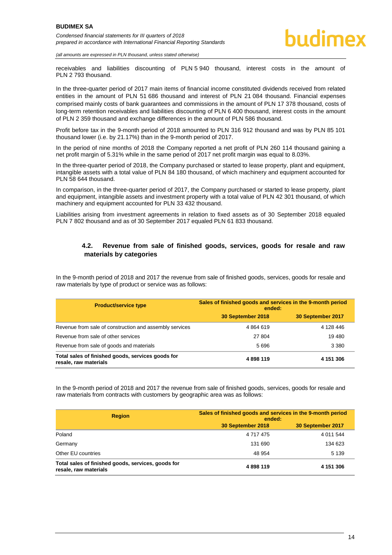

*(all amounts are expressed in PLN thousand, unless stated otherwise)*

receivables and liabilities discounting of PLN 5 940 thousand, interest costs in the amount of PLN 2 793 thousand.

In the three-quarter period of 2017 main items of financial income constituted dividends received from related entities in the amount of PLN 51 686 thousand and interest of PLN 21 084 thousand. Financial expenses comprised mainly costs of bank guarantees and commissions in the amount of PLN 17 378 thousand, costs of long-term retention receivables and liabilities discounting of PLN 6 400 thousand, interest costs in the amount of PLN 2 359 thousand and exchange differences in the amount of PLN 586 thousand.

Profit before tax in the 9-month period of 2018 amounted to PLN 316 912 thousand and was by PLN 85 101 thousand lower (i.e. by 21.17%) than in the 9-month period of 2017.

In the period of nine months of 2018 the Company reported a net profit of PLN 260 114 thousand gaining a net profit margin of 5.31% while in the same period of 2017 net profit margin was equal to 8.03%.

In the three-quarter period of 2018, the Company purchased or started to lease property, plant and equipment, intangible assets with a total value of PLN 84 180 thousand, of which machinery and equipment accounted for PLN 58 644 thousand.

In comparison, in the three-quarter period of 2017, the Company purchased or started to lease property, plant and equipment, intangible assets and investment property with a total value of PLN 42 301 thousand, of which machinery and equipment accounted for PLN 33 432 thousand.

Liabilities arising from investment agreements in relation to fixed assets as of 30 September 2018 equaled PLN 7 802 thousand and as of 30 September 2017 equaled PLN 61 833 thousand.

#### <span id="page-14-0"></span>**4.2. Revenue from sale of finished goods, services, goods for resale and raw materials by categories**

In the 9-month period of 2018 and 2017 the revenue from sale of finished goods, services, goods for resale and raw materials by type of product or service was as follows:

| <b>Product/service type</b>                                                | Sales of finished goods and services in the 9-month period<br>ended: |                   |  |
|----------------------------------------------------------------------------|----------------------------------------------------------------------|-------------------|--|
|                                                                            | 30 September 2018                                                    | 30 September 2017 |  |
| Revenue from sale of construction and assembly services                    | 4864619                                                              | 4 128 446         |  |
| Revenue from sale of other services                                        | 27 804                                                               | 19 480            |  |
| Revenue from sale of goods and materials                                   | 5696                                                                 | 3 3 8 0           |  |
| Total sales of finished goods, services goods for<br>resale, raw materials | 4898119                                                              | 4 151 306         |  |

In the 9-month period of 2018 and 2017 the revenue from sale of finished goods, services, goods for resale and raw materials from contracts with customers by geographic area was as follows:

| <b>Region</b>                                                               | Sales of finished goods and services in the 9-month period<br>ended: |                   |  |
|-----------------------------------------------------------------------------|----------------------------------------------------------------------|-------------------|--|
|                                                                             | 30 September 2018                                                    | 30 September 2017 |  |
| Poland                                                                      | 4 7 1 7 4 7 5                                                        | 4 0 11 5 44       |  |
| Germany                                                                     | 131 690                                                              | 134 623           |  |
| Other EU countries                                                          | 48 954                                                               | 5 1 3 9           |  |
| Total sales of finished goods, services, goods for<br>resale, raw materials | 4898119                                                              | 4 151 306         |  |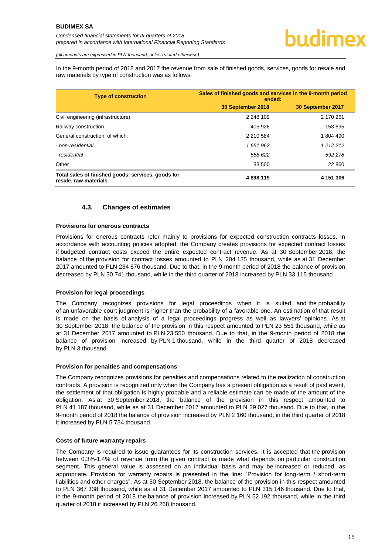*(all amounts are expressed in PLN thousand, unless stated otherwise)*

In the 9-month period of 2018 and 2017 the revenue from sale of finished goods, services, goods for resale and raw materials by type of construction was as follows:

| <b>Type of construction</b>                                                 | Sales of finished goods and services in the 9-month period<br>ended: |                   |  |
|-----------------------------------------------------------------------------|----------------------------------------------------------------------|-------------------|--|
|                                                                             | 30 September 2018                                                    | 30 September 2017 |  |
| Civil engineering (infrastructure)                                          | 2 248 109                                                            | 2 170 261         |  |
| Railway construction                                                        | 405 926                                                              | 153 695           |  |
| General construction, of which:                                             | 2 210 584                                                            | 1 804 490         |  |
| - non-residential                                                           | 1 651 962                                                            | 1 2 1 2 2 1 2     |  |
| - residential                                                               | 558 622                                                              | 592 278           |  |
| Other                                                                       | 33 500                                                               | 22 860            |  |
| Total sales of finished goods, services, goods for<br>resale, raw materials | 4898119                                                              | 4 151 306         |  |

#### **4.3. Changes of estimates**

#### <span id="page-15-0"></span>**Provisions for onerous contracts**

Provisions for onerous contracts refer mainly to provisions for expected construction contracts losses. In accordance with accounting policies adopted, the Company creates provisions for expected contract losses if budgeted contract costs exceed the entire expected contract revenue. As at 30 September 2018, the balance of the provision for contract losses amounted to PLN 204 135 thousand, while as at 31 December 2017 amounted to PLN 234 876 thousand. Due to that, in the 9-month period of 2018 the balance of provision decreased by PLN 30 741 thousand, while in the third quarter of 2018 increased by PLN 33 115 thousand.

#### **Provision for legal proceedings**

The Company recognizes provisions for legal proceedings when it is suited and the probability of an unfavorable court judgment is higher than the probability of a favorable one. An estimation of that result is made on the basis of analysis of a legal proceedings progress as well as lawyers' opinions. As at 30 September 2018, the balance of the provision in this respect amounted to PLN 23 551 thousand, while as at 31 December 2017 amounted to PLN 23 550 thousand. Due to that, in the 9-month period of 2018 the balance of provision increased by PLN 1 thousand, while in the third quarter of 2018 decreased by PLN 3 thousand.

#### **Provision for penalties and compensations**

The Company recognizes provisions for penalties and compensations related to the realization of construction contracts. A provision is recognized only when the Company has a present obligation as a result of past event, the settlement of that obligation is highly probable and a reliable estimate can be made of the amount of the obligation. As at 30 September 2018, the balance of the provision in this respect amounted to PLN 41 187 thousand, while as at 31 December 2017 amounted to PLN 39 027 thousand. Due to that, in the 9-month period of 2018 the balance of provision increased by PLN 2 160 thousand, in the third quarter of 2018 it increased by PLN 5 734 thousand.

#### **Costs of future warranty repairs**

The Company is required to issue guarantees for its construction services. It is accepted that the provision between 0.3%-1.4% of revenue from the given contract is made what depends on particular construction segment. This general value is assessed on an individual basis and may be increased or reduced, as appropriate. Provision for warranty repairs is presented in the line: "Provision for long-term / short-term liabilities and other charges". As at 30 September 2018, the balance of the provision in this respect amounted to PLN 367 338 thousand, while as at 31 December 2017 amounted to PLN 315 146 thousand. Due to that, in the 9-month period of 2018 the balance of provision increased by PLN 52 192 thousand, while in the third quarter of 2018 it increased by PLN 26 268 thousand.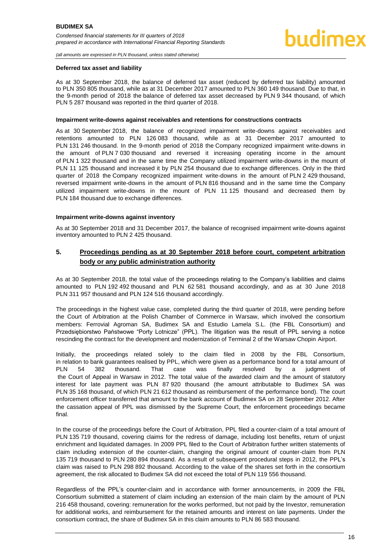#### **Deferred tax asset and liability**

As at 30 September 2018, the balance of deferred tax asset (reduced by deferred tax liability) amounted to PLN 350 805 thousand, while as at 31 December 2017 amounted to PLN 360 149 thousand. Due to that, in the 9-month period of 2018 the balance of deferred tax asset decreased by PLN 9 344 thousand, of which PLN 5 287 thousand was reported in the third quarter of 2018.

#### **Impairment write-downs against receivables and retentions for constructions contracts**

As at 30 September 2018, the balance of recognized impairment write-downs against receivables and retentions amounted to PLN 126 083 thousand, while as at 31 December 2017 amounted to PLN 131 246 thousand. In the 9-month period of 2018 the Company recognized impairment write-downs in the amount of PLN 7 030 thousand and reversed it increasing operating income in the amount of PLN 1 322 thousand and in the same time the Company utilized impairment write-downs in the mount of PLN 11 125 thousand and increased it by PLN 254 thousand due to exchange differences. Only in the third quarter of 2018 the Company recognized impairment write-downs in the amount of PLN 2 429 thousand, reversed impairment write-downs in the amount of PLN 816 thousand and in the same time the Company utilized impairment write-downs in the mount of PLN 11 125 thousand and decreased them by PLN 184 thousand due to exchange differences.

#### **Impairment write-downs against inventory**

As at 30 September 2018 and 31 December 2017, the balance of recognised impairment write-downs against inventory amounted to PLN 2 425 thousand.

#### <span id="page-16-0"></span>**5. Proceedings pending as at 30 September 2018 before court, competent arbitration body or any public administration authority**

As at 30 September 2018, the total value of the proceedings relating to the Company's liabilities and claims amounted to PLN 192 492 thousand and PLN 62 581 thousand accordingly, and as at 30 June 2018 PLN 311 957 thousand and PLN 124 516 thousand accordingly.

The proceedings in the highest value case, completed during the third quarter of 2018, were pending before the Court of Arbitration at the Polish Chamber of Commerce in Warsaw, which involved the consortium members: Ferrovial Agroman SA, Budimex SA and Estudio Lamela S.L. (the FBL Consortium) and Przedsiębiorstwo Państwowe "Porty Lotnicze" (PPL). The litigation was the result of PPL serving a notice rescinding the contract for the development and modernization of Terminal 2 of the Warsaw Chopin Airport.

Initially, the proceedings related solely to the claim filed in 2008 by the FBL Consortium, in relation to bank guarantees realised by PPL, which were given as a performance bond for a total amount of PLN 54 382 thousand. That case was finally resolved by a judgment of the Court of Appeal in Warsaw in 2012. The total value of the awarded claim and the amount of statutory interest for late payment was PLN 87 920 thousand (the amount attributable to Budimex SA was PLN 35 168 thousand, of which PLN 21 612 thousand as reimbursement of the performance bond). The court enforcement officer transferred that amount to the bank account of Budimex SA on 28 September 2012. After the cassation appeal of PPL was dismissed by the Supreme Court, the enforcement proceedings became final.

In the course of the proceedings before the Court of Arbitration, PPL filed a counter-claim of a total amount of PLN 135 719 thousand, covering claims for the redress of damage, including lost benefits, return of unjust enrichment and liquidated damages. In 2009 PPL filed to the Court of Arbitration further written statements of claim including extension of the counter-claim, changing the original amount of counter-claim from PLN 135 719 thousand to PLN 280 894 thousand. As a result of subsequent procedural steps in 2012, the PPL's claim was raised to PLN 298 892 thousand. According to the value of the shares set forth in the consortium agreement, the risk allocated to Budimex SA did not exceed the total of PLN 119 556 thousand.

Regardless of the PPL's counter-claim and in accordance with former announcements, in 2009 the FBL Consortium submitted a statement of claim including an extension of the main claim by the amount of PLN 216 458 thousand, covering: remuneration for the works performed, but not paid by the Investor, remuneration for additional works, and reimbursement for the retained amounts and interest on late payments. Under the consortium contract, the share of Budimex SA in this claim amounts to PLN 86 583 thousand.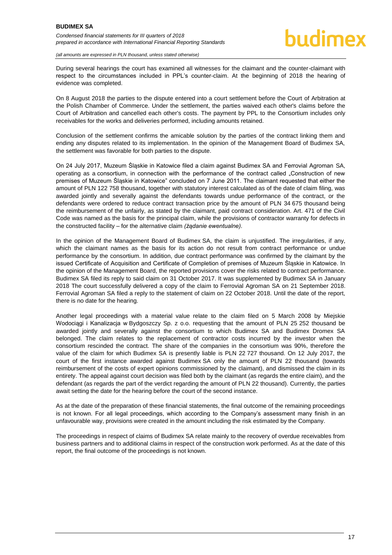During several hearings the court has examined all witnesses for the claimant and the counter-claimant with respect to the circumstances included in PPL's counter-claim. At the beginning of 2018 the hearing of evidence was completed.

On 8 August 2018 the parties to the dispute entered into a court settlement before the Court of Arbitration at the Polish Chamber of Commerce. Under the settlement, the parties waived each other's claims before the Court of Arbitration and cancelled each other's costs. The payment by PPL to the Consortium includes only receivables for the works and deliveries performed, including amounts retained.

Conclusion of the settlement confirms the amicable solution by the parties of the contract linking them and ending any disputes related to its implementation. In the opinion of the Management Board of Budimex SA, the settlement was favorable for both parties to the dispute.

On 24 July 2017, Muzeum Śląskie in Katowice filed a claim against Budimex SA and Ferrovial Agroman SA, operating as a consortium, in connection with the performance of the contract called "Construction of new premises of Muzeum Śląskie in Katowice" concluded on 7 June 2011. The claimant requested that either the amount of PLN 122 758 thousand, together with statutory interest calculated as of the date of claim filing, was awarded jointly and severally against the defendants towards undue performance of the contract, or the defendants were ordered to reduce contract transaction price by the amount of PLN 34 675 thousand being the reimbursement of the unfairly, as stated by the claimant, paid contract consideration. Art. 471 of the Civil Code was named as the basis for the principal claim, while the provisions of contractor warranty for defects in the constructed facility – for the alternative claim *(żądanie ewentualne).* 

In the opinion of the Management Board of Budimex SA, the claim is unjustified. The irregularities, if any, which the claimant names as the basis for its action do not result from contract performance or undue performance by the consortium. In addition, due contract performance was confirmed by the claimant by the issued Certificate of Acquisition and Certificate of Completion of premises of Muzeum Śląskie in Katowice. In the opinion of the Management Board, the reported provisions cover the risks related to contract performance. Budimex SA filed its reply to said claim on 31 October 2017. It was supplemented by Budimex SA in January 2018 The court successfully delivered a copy of the claim to Ferrovial Agroman SA on 21 September 2018. Ferrovial Agroman SA filed a reply to the statement of claim on 22 October 2018. Until the date of the report, there is no date for the hearing.

Another legal proceedings with a material value relate to the claim filed on 5 March 2008 by Miejskie Wodociągi i Kanalizacja w Bydgoszczy Sp. z o.o. requesting that the amount of PLN 25 252 thousand be awarded jointly and severally against the consortium to which Budimex SA and Budimex Dromex SA belonged. The claim relates to the replacement of contractor costs incurred by the investor when the consortium rescinded the contract. The share of the companies in the consortium was 90%, therefore the value of the claim for which Budimex SA is presently liable is PLN 22 727 thousand. On 12 July 2017, the court of the first instance awarded against Budimex SA only the amount of PLN 22 thousand (towards reimbursement of the costs of expert opinions commissioned by the claimant), and dismissed the claim in its entirety. The appeal against court decision was filed both by the claimant (as regards the entire claim), and the defendant (as regards the part of the verdict regarding the amount of PLN 22 thousand). Currently, the parties await setting the date for the hearing before the court of the second instance.

As at the date of the preparation of these financial statements, the final outcome of the remaining proceedings is not known. For all legal proceedings, which according to the Company's assessment many finish in an unfavourable way, provisions were created in the amount including the risk estimated by the Company.

The proceedings in respect of claims of Budimex SA relate mainly to the recovery of overdue receivables from business partners and to additional claims in respect of the construction work performed. As at the date of this report, the final outcome of the proceedings is not known.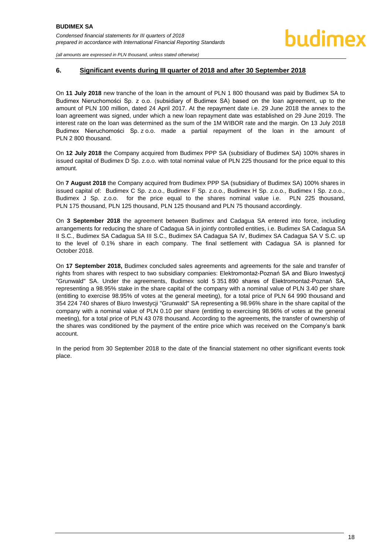#### <span id="page-18-0"></span>**6. Significant events during III quarter of 2018 and after 30 September 2018**

On **11 July 2018** new tranche of the loan in the amount of PLN 1 800 thousand was paid by Budimex SA to Budimex Nieruchomości Sp. z o.o. (subsidiary of Budimex SA) based on the loan agreement, up to the amount of PLN 100 million, dated 24 April 2017. At the repayment date i.e. 29 June 2018 the annex to the loan agreement was signed, under which a new loan repayment date was established on 29 June 2019. The interest rate on the loan was determined as the sum of the 1M WIBOR rate and the margin. On 13 July 2018 Budimex Nieruchomości Sp. z o.o. made a partial repayment of the loan in the amount of PLN 2 800 thousand.

On **12 July 2018** the Company acquired from Budimex PPP SA (subsidiary of Budimex SA) 100% shares in issued capital of Budimex D Sp. z.o.o. with total nominal value of PLN 225 thousand for the price equal to this amount.

On **7 August 2018** the Company acquired from Budimex PPP SA (subsidiary of Budimex SA) 100% shares in issued capital of: Budimex C Sp. z.o.o., Budimex F Sp. z.o.o., Budimex H Sp. z.o.o., Budimex I Sp. z.o.o., Budimex J Sp. z.o.o. for the price equal to the shares nominal value i.e. PLN 225 thousand, PLN 175 thousand, PLN 125 thousand, PLN 125 thousand and PLN 75 thousand accordingly.

On **3 September 2018** the agreement between Budimex and Cadagua SA entered into force, including arrangements for reducing the share of Cadagua SA in jointly controlled entities, i.e. Budimex SA Cadagua SA II S.C., Budimex SA Cadagua SA III S.C., Budimex SA Cadagua SA IV, Budimex SA Cadagua SA V S.C. up to the level of 0.1% share in each company. The final settlement with Cadagua SA is planned for October 2018.

On **17 September 2018,** Budimex concluded sales agreements and agreements for the sale and transfer of rights from shares with respect to two subsidiary companies: Elektromontaż-Poznań SA and Biuro Inwestycji "Grunwald" SA. Under the agreements, Budimex sold 5 351 890 shares of Elektromontaż-Poznań SA, representing a 98.95% stake in the share capital of the company with a nominal value of PLN 3.40 per share (entitling to exercise 98.95% of votes at the general meeting), for a total price of PLN 64 990 thousand and 354 224 740 shares of Biuro Inwestycji "Grunwald" SA representing a 98.96% share in the share capital of the company with a nominal value of PLN 0.10 per share (entitling to exercising 98.96% of votes at the general meeting), for a total price of PLN 43 078 thousand. According to the agreements, the transfer of ownership of the shares was conditioned by the payment of the entire price which was received on the Company's bank account.

In the period from 30 September 2018 to the date of the financial statement no other significant events took place.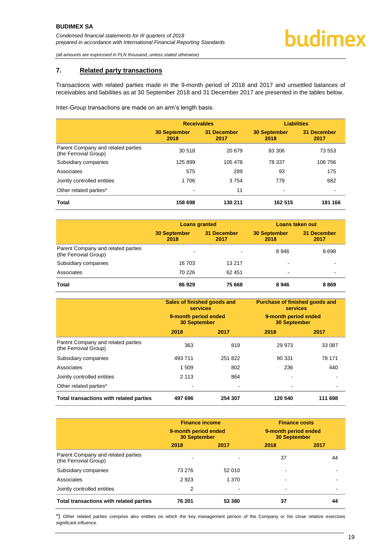#### <span id="page-19-0"></span>**7. Related party transactions**

Transactions with related parties made in the 9-month period of 2018 and 2017 and unsettled balances of receivables and liabilities as at 30 September 2018 and 31 December 2017 are presented in the tables below.

Inter-Group transactions are made on an arm's length basis.

|                                                             | <b>Receivables</b>          |                     | <b>Liabilities</b>          |                     |
|-------------------------------------------------------------|-----------------------------|---------------------|-----------------------------|---------------------|
|                                                             | <b>30 September</b><br>2018 | 31 December<br>2017 | <b>30 September</b><br>2018 | 31 December<br>2017 |
| Parent Company and related parties<br>(the Ferrovial Group) | 30 518                      | 20 679              | 83 306                      | 73 553              |
| Subsidiary companies                                        | 125 899                     | 105 478             | 78 337                      | 106 756             |
| Associates                                                  | 575                         | 289                 | 93                          | 175                 |
| Jointly controlled entities                                 | 1 706                       | 3754                | 779                         | 682                 |
| Other related parties*                                      | $\blacksquare$              | 11                  | ۰                           |                     |
| <b>Total</b>                                                | 158 698                     | 130 211             | 162 515                     | 181 166             |

|                                                             | <b>Loans granted</b>        |                     | Loans taken out             |                     |
|-------------------------------------------------------------|-----------------------------|---------------------|-----------------------------|---------------------|
|                                                             | <b>30 September</b><br>2018 | 31 December<br>2017 | <b>30 September</b><br>2018 | 31 December<br>2017 |
| Parent Company and related parties<br>(the Ferrovial Group) |                             |                     | 8946                        | 8 6 9 8             |
| Subsidiary companies                                        | 16 703                      | 13 217              |                             |                     |
| Associates                                                  | 70 226                      | 62 451              | ۰                           |                     |
| <b>Total</b>                                                | 86929                       | 75 668              | 8946                        | 8869                |

|                                                             | Sales of finished goods and<br><b>services</b><br>9-month period ended<br><b>30 September</b> |         | <b>Purchase of finished goods and</b><br><b>services</b><br>9-month period ended<br><b>30 September</b> |         |
|-------------------------------------------------------------|-----------------------------------------------------------------------------------------------|---------|---------------------------------------------------------------------------------------------------------|---------|
|                                                             | 2018                                                                                          | 2017    | 2018                                                                                                    | 2017    |
| Parent Company and related parties<br>(the Ferrovial Group) | 363                                                                                           | 819     | 29 973                                                                                                  | 33 087  |
| Subsidiary companies                                        | 493 711                                                                                       | 251 822 | 90 331                                                                                                  | 78 171  |
| Associates                                                  | 1 509                                                                                         | 802     | 236                                                                                                     | 440     |
| Jointly controlled entities                                 | 2 1 1 3                                                                                       | 864     |                                                                                                         |         |
| Other related parties*                                      |                                                                                               |         |                                                                                                         |         |
| Total transactions with related parties                     | 497 696                                                                                       | 254 307 | 120 540                                                                                                 | 111 698 |

|                                                             | <b>Finance income</b><br>9-month period ended<br><b>30 September</b> |                          | <b>Finance costs</b><br>9-month period ended<br><b>30 September</b> |      |
|-------------------------------------------------------------|----------------------------------------------------------------------|--------------------------|---------------------------------------------------------------------|------|
|                                                             | 2018                                                                 | 2017                     | 2018                                                                | 2017 |
| Parent Company and related parties<br>(the Ferrovial Group) |                                                                      |                          | 37                                                                  | 44   |
| Subsidiary companies                                        | 73 276                                                               | 52 010                   |                                                                     |      |
| Associates                                                  | 2923                                                                 | 1 370                    |                                                                     |      |
| Jointly controlled entities                                 | 2                                                                    | $\overline{\phantom{0}}$ | -                                                                   |      |
| Total transactions with related parties                     | 76 201                                                               | 53 380                   | 37                                                                  | 44   |

\*) Other related parties comprise also entities on which the key management person of the Company or his close relative exercises significant influence.